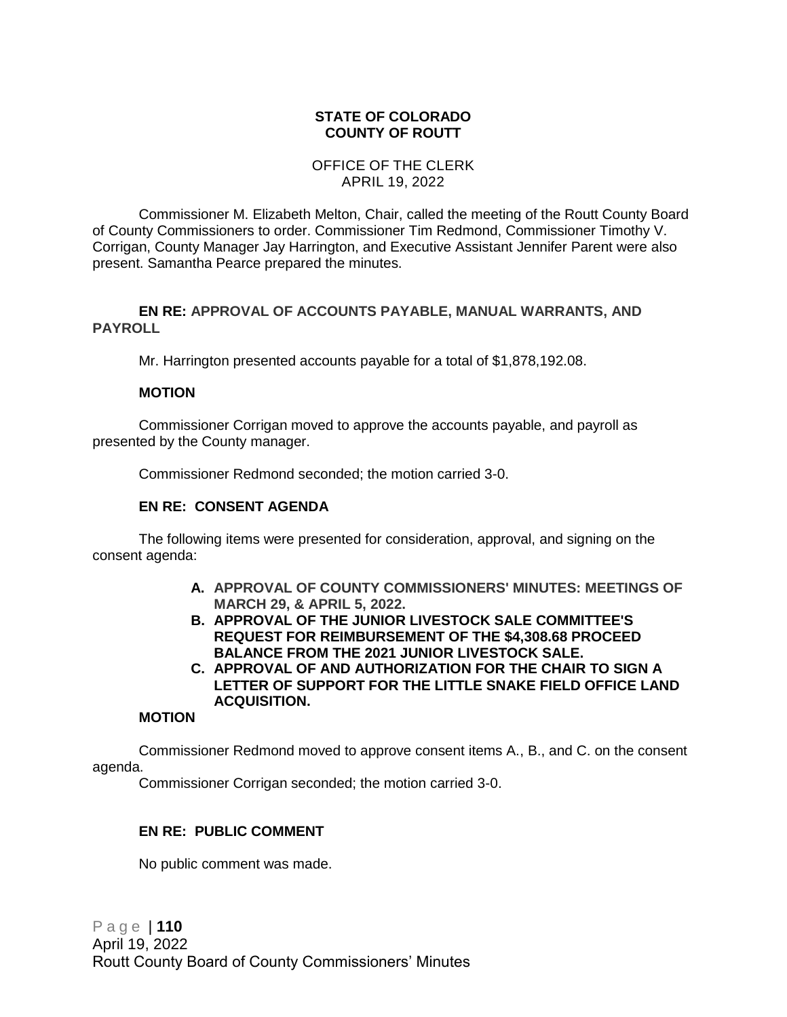# **STATE OF COLORADO COUNTY OF ROUTT**

# OFFICE OF THE CLERK APRIL 19, 2022

Commissioner M. Elizabeth Melton, Chair, called the meeting of the Routt County Board of County Commissioners to order. Commissioner Tim Redmond, Commissioner Timothy V. Corrigan, County Manager Jay Harrington, and Executive Assistant Jennifer Parent were also present. Samantha Pearce prepared the minutes.

# **EN RE: APPROVAL OF ACCOUNTS PAYABLE, MANUAL WARRANTS, AND PAYROLL**

Mr. Harrington presented accounts payable for a total of \$1,878,192.08.

# **MOTION**

Commissioner Corrigan moved to approve the accounts payable, and payroll as presented by the County manager.

Commissioner Redmond seconded; the motion carried 3-0.

# **EN RE: CONSENT AGENDA**

The following items were presented for consideration, approval, and signing on the consent agenda:

- **A. APPROVAL OF COUNTY COMMISSIONERS' MINUTES: MEETINGS OF MARCH 29, & APRIL 5, 2022.**
- **B. APPROVAL OF THE JUNIOR LIVESTOCK SALE COMMITTEE'S REQUEST FOR REIMBURSEMENT OF THE \$4,308.68 PROCEED BALANCE FROM THE 2021 JUNIOR LIVESTOCK SALE.**
- **C. APPROVAL OF AND AUTHORIZATION FOR THE CHAIR TO SIGN A LETTER OF SUPPORT FOR THE LITTLE SNAKE FIELD OFFICE LAND ACQUISITION.**

# **MOTION**

Commissioner Redmond moved to approve consent items A., B., and C. on the consent agenda.

Commissioner Corrigan seconded; the motion carried 3-0.

# **EN RE: PUBLIC COMMENT**

No public comment was made.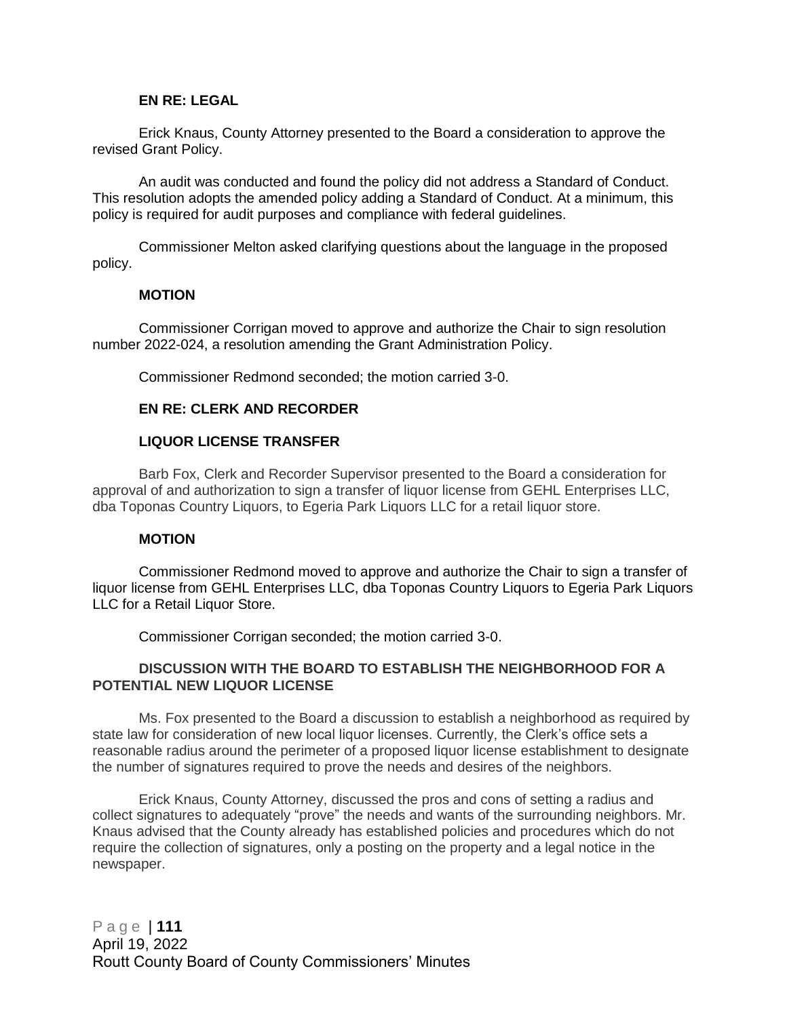### **EN RE: LEGAL**

Erick Knaus, County Attorney presented to the Board a consideration to approve the revised Grant Policy.

An audit was conducted and found the policy did not address a Standard of Conduct. This resolution adopts the amended policy adding a Standard of Conduct. At a minimum, this policy is required for audit purposes and compliance with federal guidelines.

Commissioner Melton asked clarifying questions about the language in the proposed policy.

#### **MOTION**

Commissioner Corrigan moved to approve and authorize the Chair to sign resolution number 2022-024, a resolution amending the Grant Administration Policy.

Commissioner Redmond seconded; the motion carried 3-0.

#### **EN RE: CLERK AND RECORDER**

#### **LIQUOR LICENSE TRANSFER**

Barb Fox, Clerk and Recorder Supervisor presented to the Board a consideration for approval of and authorization to sign a transfer of liquor license from GEHL Enterprises LLC, dba Toponas Country Liquors, to Egeria Park Liquors LLC for a retail liquor store.

#### **MOTION**

Commissioner Redmond moved to approve and authorize the Chair to sign a transfer of liquor license from GEHL Enterprises LLC, dba Toponas Country Liquors to Egeria Park Liquors LLC for a Retail Liquor Store.

Commissioner Corrigan seconded; the motion carried 3-0.

#### **DISCUSSION WITH THE BOARD TO ESTABLISH THE NEIGHBORHOOD FOR A POTENTIAL NEW LIQUOR LICENSE**

Ms. Fox presented to the Board a discussion to establish a neighborhood as required by state law for consideration of new local liquor licenses. Currently, the Clerk's office sets a reasonable radius around the perimeter of a proposed liquor license establishment to designate the number of signatures required to prove the needs and desires of the neighbors.

Erick Knaus, County Attorney, discussed the pros and cons of setting a radius and collect signatures to adequately "prove" the needs and wants of the surrounding neighbors. Mr. Knaus advised that the County already has established policies and procedures which do not require the collection of signatures, only a posting on the property and a legal notice in the newspaper.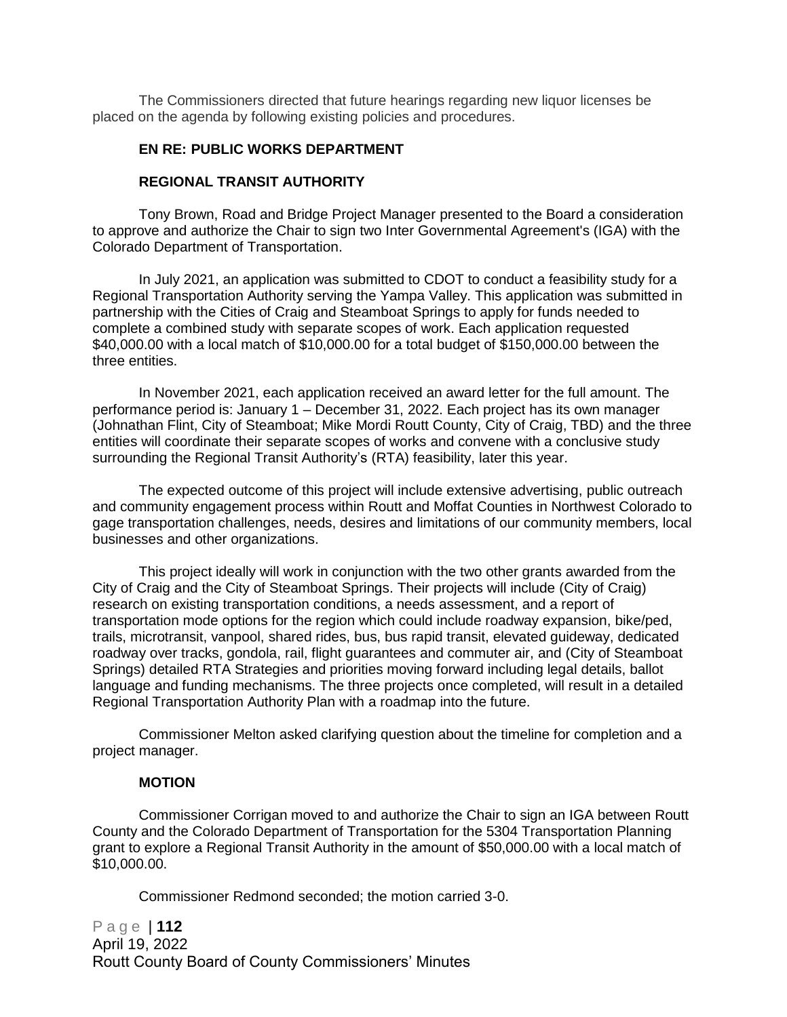The Commissioners directed that future hearings regarding new liquor licenses be placed on the agenda by following existing policies and procedures.

#### **EN RE: PUBLIC WORKS DEPARTMENT**

#### **REGIONAL TRANSIT AUTHORITY**

Tony Brown, Road and Bridge Project Manager presented to the Board a consideration to approve and authorize the Chair to sign two Inter Governmental Agreement's (IGA) with the Colorado Department of Transportation.

In July 2021, an application was submitted to CDOT to conduct a feasibility study for a Regional Transportation Authority serving the Yampa Valley. This application was submitted in partnership with the Cities of Craig and Steamboat Springs to apply for funds needed to complete a combined study with separate scopes of work. Each application requested \$40,000.00 with a local match of \$10,000.00 for a total budget of \$150,000.00 between the three entities.

In November 2021, each application received an award letter for the full amount. The performance period is: January 1 – December 31, 2022. Each project has its own manager (Johnathan Flint, City of Steamboat; Mike Mordi Routt County, City of Craig, TBD) and the three entities will coordinate their separate scopes of works and convene with a conclusive study surrounding the Regional Transit Authority's (RTA) feasibility, later this year.

The expected outcome of this project will include extensive advertising, public outreach and community engagement process within Routt and Moffat Counties in Northwest Colorado to gage transportation challenges, needs, desires and limitations of our community members, local businesses and other organizations.

This project ideally will work in conjunction with the two other grants awarded from the City of Craig and the City of Steamboat Springs. Their projects will include (City of Craig) research on existing transportation conditions, a needs assessment, and a report of transportation mode options for the region which could include roadway expansion, bike/ped, trails, microtransit, vanpool, shared rides, bus, bus rapid transit, elevated guideway, dedicated roadway over tracks, gondola, rail, flight guarantees and commuter air, and (City of Steamboat Springs) detailed RTA Strategies and priorities moving forward including legal details, ballot language and funding mechanisms. The three projects once completed, will result in a detailed Regional Transportation Authority Plan with a roadmap into the future.

Commissioner Melton asked clarifying question about the timeline for completion and a project manager.

#### **MOTION**

Commissioner Corrigan moved to and authorize the Chair to sign an IGA between Routt County and the Colorado Department of Transportation for the 5304 Transportation Planning grant to explore a Regional Transit Authority in the amount of \$50,000.00 with a local match of \$10,000.00.

Commissioner Redmond seconded; the motion carried 3-0.

P a g e | **112** April 19, 2022 Routt County Board of County Commissioners' Minutes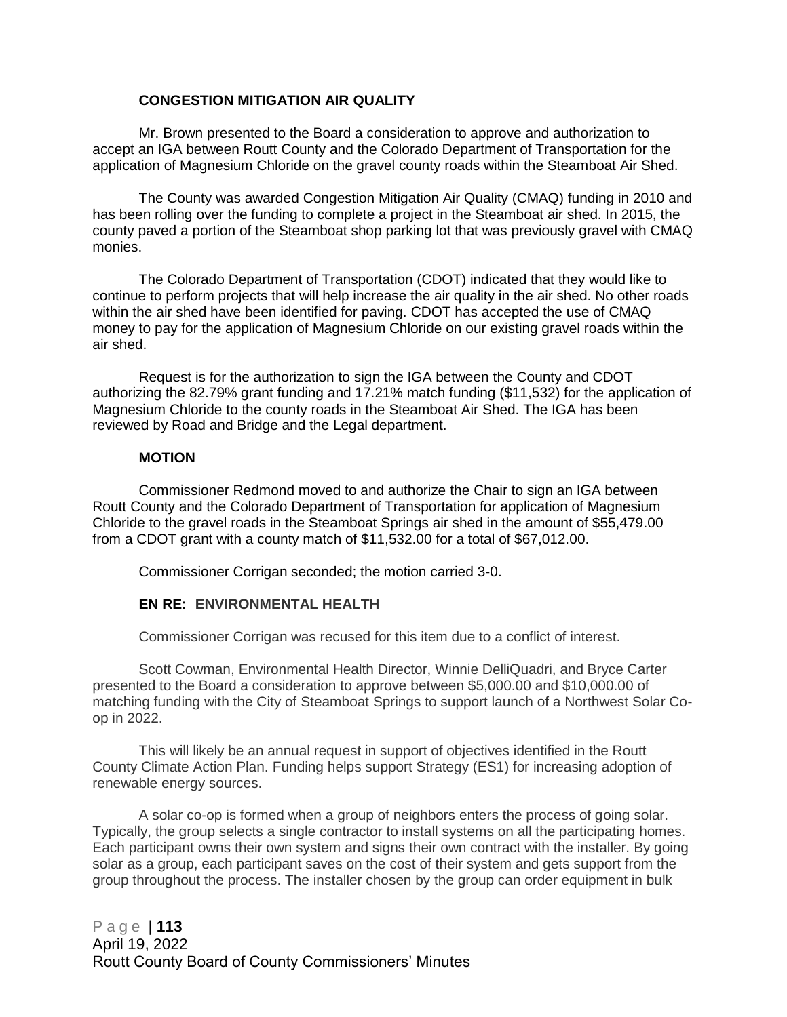# **CONGESTION MITIGATION AIR QUALITY**

Mr. Brown presented to the Board a consideration to approve and authorization to accept an IGA between Routt County and the Colorado Department of Transportation for the application of Magnesium Chloride on the gravel county roads within the Steamboat Air Shed.

The County was awarded Congestion Mitigation Air Quality (CMAQ) funding in 2010 and has been rolling over the funding to complete a project in the Steamboat air shed. In 2015, the county paved a portion of the Steamboat shop parking lot that was previously gravel with CMAQ monies.

The Colorado Department of Transportation (CDOT) indicated that they would like to continue to perform projects that will help increase the air quality in the air shed. No other roads within the air shed have been identified for paving. CDOT has accepted the use of CMAQ money to pay for the application of Magnesium Chloride on our existing gravel roads within the air shed.

Request is for the authorization to sign the IGA between the County and CDOT authorizing the 82.79% grant funding and 17.21% match funding (\$11,532) for the application of Magnesium Chloride to the county roads in the Steamboat Air Shed. The IGA has been reviewed by Road and Bridge and the Legal department.

#### **MOTION**

Commissioner Redmond moved to and authorize the Chair to sign an IGA between Routt County and the Colorado Department of Transportation for application of Magnesium Chloride to the gravel roads in the Steamboat Springs air shed in the amount of \$55,479.00 from a CDOT grant with a county match of \$11,532.00 for a total of \$67,012.00.

Commissioner Corrigan seconded; the motion carried 3-0.

# **EN RE: ENVIRONMENTAL HEALTH**

Commissioner Corrigan was recused for this item due to a conflict of interest.

Scott Cowman, Environmental Health Director, Winnie DelliQuadri, and Bryce Carter presented to the Board a consideration to approve between \$5,000.00 and \$10,000.00 of matching funding with the City of Steamboat Springs to support launch of a Northwest Solar Coop in 2022.

This will likely be an annual request in support of objectives identified in the Routt County Climate Action Plan. Funding helps support Strategy (ES1) for increasing adoption of renewable energy sources.

A solar co-op is formed when a group of neighbors enters the process of going solar. Typically, the group selects a single contractor to install systems on all the participating homes. Each participant owns their own system and signs their own contract with the installer. By going solar as a group, each participant saves on the cost of their system and gets support from the group throughout the process. The installer chosen by the group can order equipment in bulk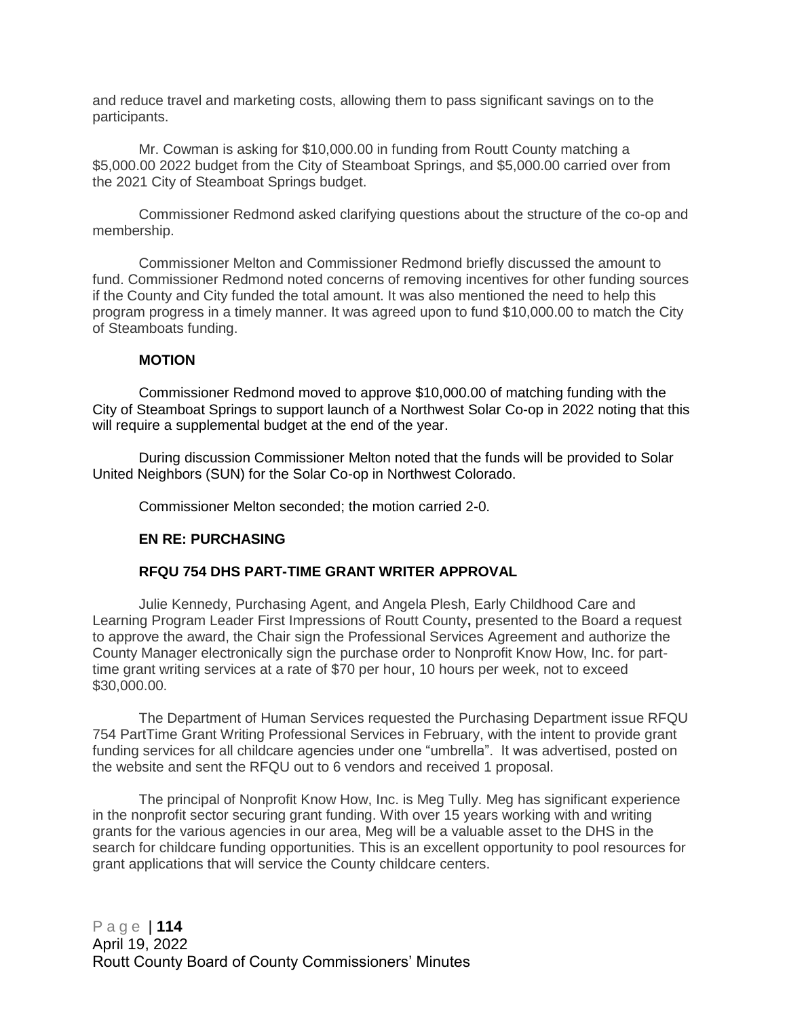and reduce travel and marketing costs, allowing them to pass significant savings on to the participants.

Mr. Cowman is asking for \$10,000.00 in funding from Routt County matching a \$5,000.00 2022 budget from the City of Steamboat Springs, and \$5,000.00 carried over from the 2021 City of Steamboat Springs budget.

Commissioner Redmond asked clarifying questions about the structure of the co-op and membership.

Commissioner Melton and Commissioner Redmond briefly discussed the amount to fund. Commissioner Redmond noted concerns of removing incentives for other funding sources if the County and City funded the total amount. It was also mentioned the need to help this program progress in a timely manner. It was agreed upon to fund \$10,000.00 to match the City of Steamboats funding.

#### **MOTION**

Commissioner Redmond moved to approve \$10,000.00 of matching funding with the City of Steamboat Springs to support launch of a Northwest Solar Co-op in 2022 noting that this will require a supplemental budget at the end of the year.

During discussion Commissioner Melton noted that the funds will be provided to Solar United Neighbors (SUN) for the Solar Co-op in Northwest Colorado.

Commissioner Melton seconded; the motion carried 2-0.

#### **EN RE: PURCHASING**

### **RFQU 754 DHS PART-TIME GRANT WRITER APPROVAL**

Julie Kennedy, Purchasing Agent, and Angela Plesh, Early Childhood Care and Learning Program Leader First Impressions of Routt County**,** presented to the Board a request to approve the award, the Chair sign the Professional Services Agreement and authorize the County Manager electronically sign the purchase order to Nonprofit Know How, Inc. for parttime grant writing services at a rate of \$70 per hour, 10 hours per week, not to exceed \$30,000.00.

The Department of Human Services requested the Purchasing Department issue RFQU 754 PartTime Grant Writing Professional Services in February, with the intent to provide grant funding services for all childcare agencies under one "umbrella". It was advertised, posted on the website and sent the RFQU out to 6 vendors and received 1 proposal.

The principal of Nonprofit Know How, Inc. is Meg Tully. Meg has significant experience in the nonprofit sector securing grant funding. With over 15 years working with and writing grants for the various agencies in our area, Meg will be a valuable asset to the DHS in the search for childcare funding opportunities. This is an excellent opportunity to pool resources for grant applications that will service the County childcare centers.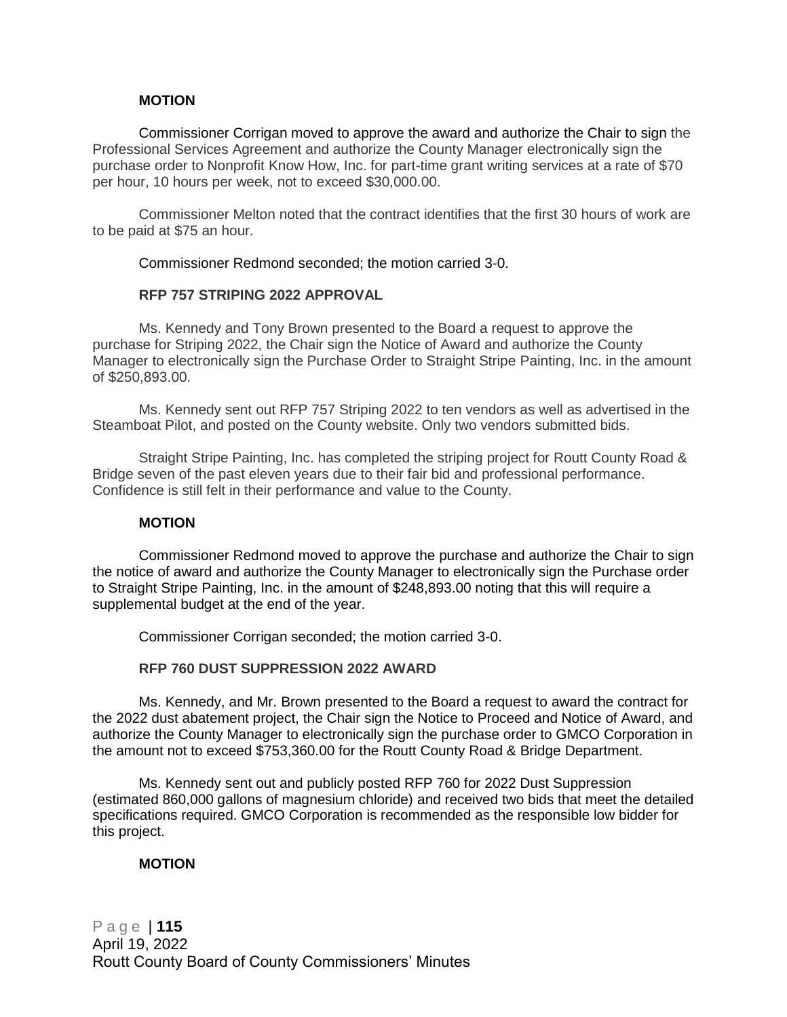# **MOTION**

Commissioner Corrigan moved to approve the award and authorize the Chair to sign the Professional Services Agreement and authorize the County Manager electronically sign the purchase order to Nonprofit Know How, Inc. for part-time grant writing services at a rate of \$70 per hour, 10 hours per week, not to exceed \$30,000.00.

Commissioner Melton noted that the contract identifies that the first 30 hours of work are to be paid at \$75 an hour.

Commissioner Redmond seconded; the motion carried 3-0.

#### **RFP 757 STRIPING 2022 APPROVAL**

Ms. Kennedy and Tony Brown presented to the Board a request to approve the purchase for Striping 2022, the Chair sign the Notice of Award and authorize the County Manager to electronically sign the Purchase Order to Straight Stripe Painting, Inc. in the amount of \$250,893.00.

Ms. Kennedy sent out RFP 757 Striping 2022 to ten vendors as well as advertised in the Steamboat Pilot, and posted on the County website. Only two vendors submitted bids.

Straight Stripe Painting, Inc. has completed the striping project for Routt County Road & Bridge seven of the past eleven years due to their fair bid and professional performance. Confidence is still felt in their performance and value to the County.

#### **MOTION**

Commissioner Redmond moved to approve the purchase and authorize the Chair to sign the notice of award and authorize the County Manager to electronically sign the Purchase order to Straight Stripe Painting, Inc. in the amount of \$248,893.00 noting that this will require a supplemental budget at the end of the year.

Commissioner Corrigan seconded; the motion carried 3-0.

#### **RFP 760 DUST SUPPRESSION 2022 AWARD**

Ms. Kennedy, and Mr. Brown presented to the Board a request to award the contract for the 2022 dust abatement project, the Chair sign the Notice to Proceed and Notice of Award, and authorize the County Manager to electronically sign the purchase order to GMCO Corporation in the amount not to exceed \$753,360.00 for the Routt County Road & Bridge Department.

Ms. Kennedy sent out and publicly posted RFP 760 for 2022 Dust Suppression (estimated 860,000 gallons of magnesium chloride) and received two bids that meet the detailed specifications required. GMCO Corporation is recommended as the responsible low bidder for this project.

#### **MOTION**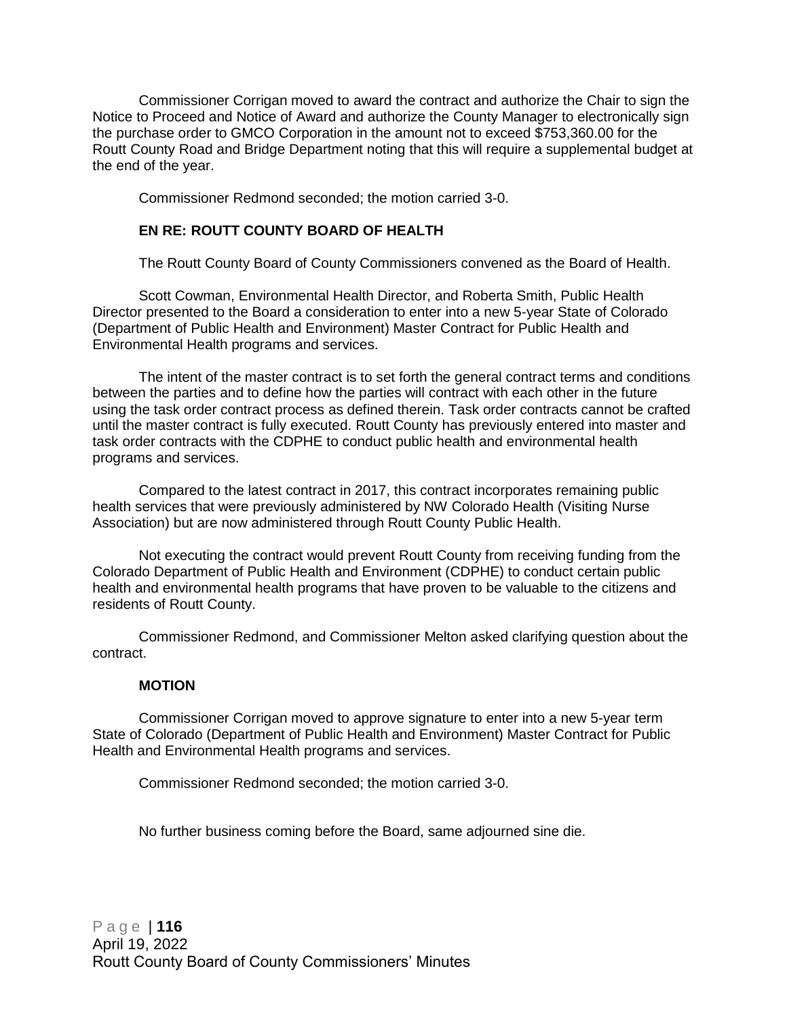Commissioner Corrigan moved to award the contract and authorize the Chair to sign the Notice to Proceed and Notice of Award and authorize the County Manager to electronically sign the purchase order to GMCO Corporation in the amount not to exceed \$753,360.00 for the Routt County Road and Bridge Department noting that this will require a supplemental budget at the end of the year.

Commissioner Redmond seconded; the motion carried 3-0.

# **EN RE: ROUTT COUNTY BOARD OF HEALTH**

The Routt County Board of County Commissioners convened as the Board of Health.

Scott Cowman, Environmental Health Director, and Roberta Smith, Public Health Director presented to the Board a consideration to enter into a new 5-year State of Colorado (Department of Public Health and Environment) Master Contract for Public Health and Environmental Health programs and services.

The intent of the master contract is to set forth the general contract terms and conditions between the parties and to define how the parties will contract with each other in the future using the task order contract process as defined therein. Task order contracts cannot be crafted until the master contract is fully executed. Routt County has previously entered into master and task order contracts with the CDPHE to conduct public health and environmental health programs and services.

Compared to the latest contract in 2017, this contract incorporates remaining public health services that were previously administered by NW Colorado Health (Visiting Nurse Association) but are now administered through Routt County Public Health.

Not executing the contract would prevent Routt County from receiving funding from the Colorado Department of Public Health and Environment (CDPHE) to conduct certain public health and environmental health programs that have proven to be valuable to the citizens and residents of Routt County.

Commissioner Redmond, and Commissioner Melton asked clarifying question about the contract.

#### **MOTION**

Commissioner Corrigan moved to approve signature to enter into a new 5-year term State of Colorado (Department of Public Health and Environment) Master Contract for Public Health and Environmental Health programs and services.

Commissioner Redmond seconded; the motion carried 3-0.

No further business coming before the Board, same adjourned sine die.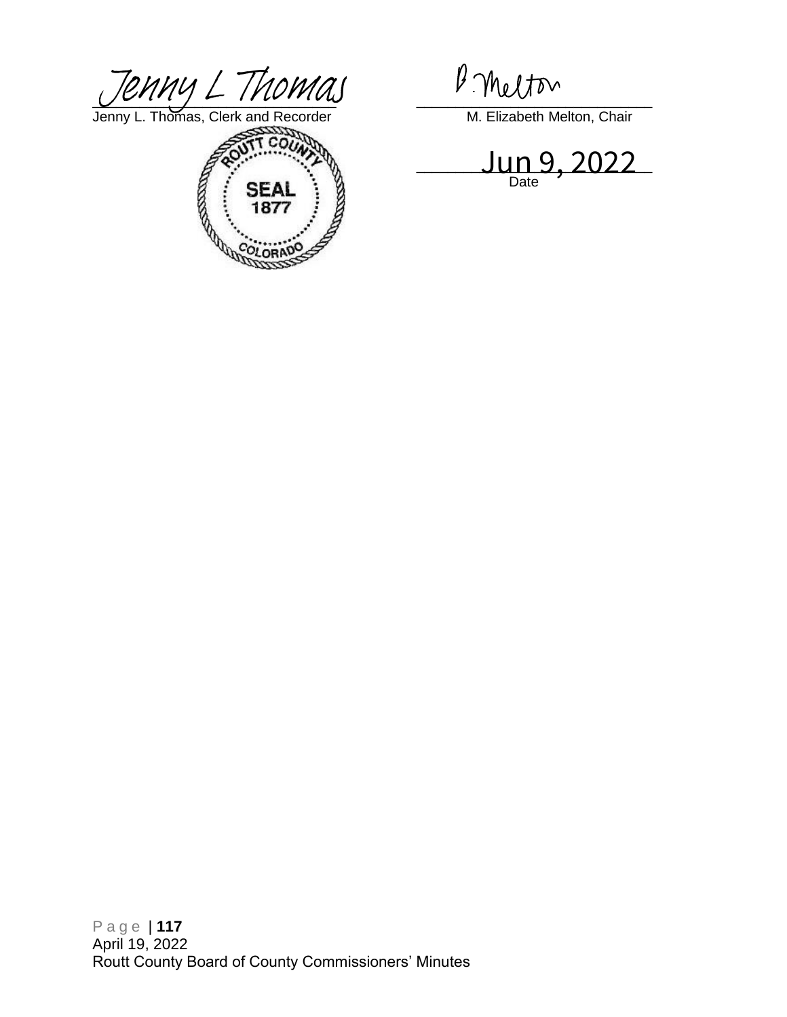$U$ *[Jenny L Thomas](https://na4.documents.adobe.com/verifier?tx=CBJCHBCAABAAVQ4fUPaW9w3Nkn3dkbdUZJBOYxqJK82N)*, Clerk and Recorder M. Elizabeth Melton, Chair<br> *Jun 9, 2022* 

Jenny L. Thoma[s, Clerk and Recorder](https://na4.documents.adobe.com/verifier?tx=CBJCHBCAABAAVQ4fUPaW9w3Nkn3dkbdUZJBOYxqJK82N) M. Elizabeth Melton, Chair



\_\_\_\_\_\_\_\_\_\_\_\_\_\_\_\_\_\_\_\_\_\_\_\_\_\_\_\_\_\_ Date

P a g e | **117** April 19, 2022 Routt County Board of County Commissioners' Minutes